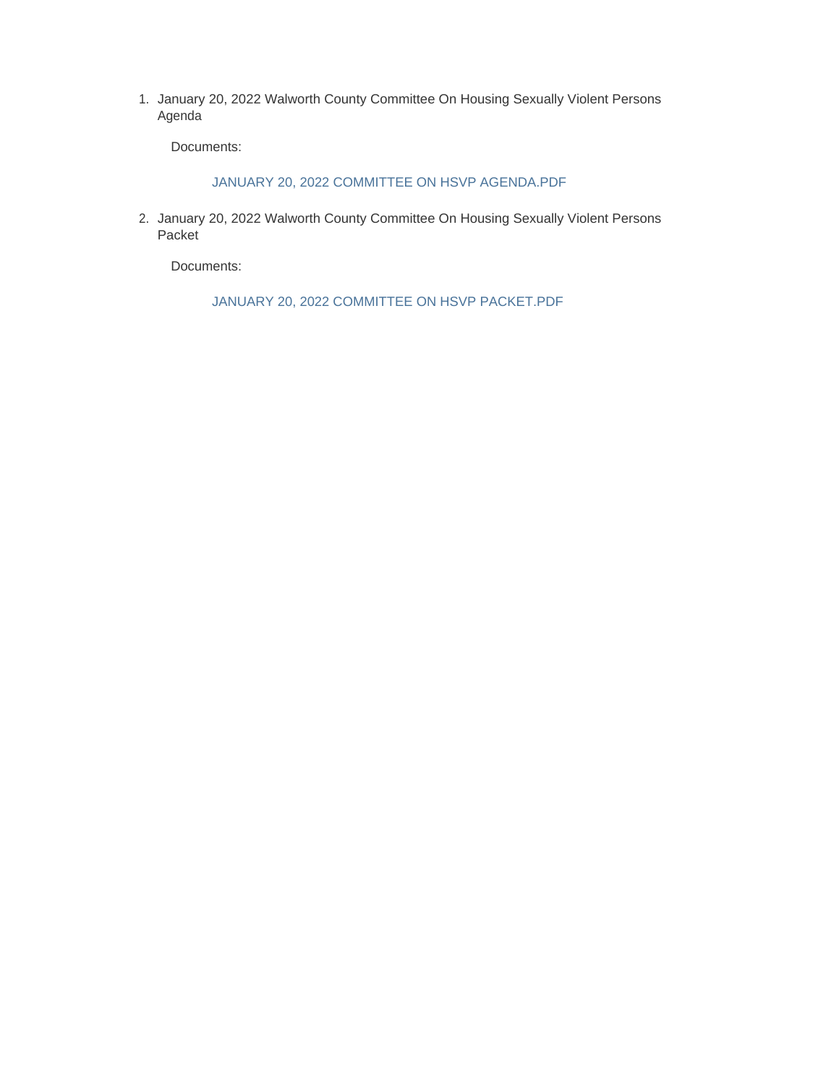1. January 20, 2022 Walworth County Committee On Housing Sexually Violent Persons Agenda

Documents:

JANUARY 20, 2022 COMMITTEE ON HSVP AGENDA.PDF

2. January 20, 2022 Walworth County Committee On Housing Sexually Violent Persons Packet

Documents:

JANUARY 20, 2022 COMMITTEE ON HSVP PACKET.PDF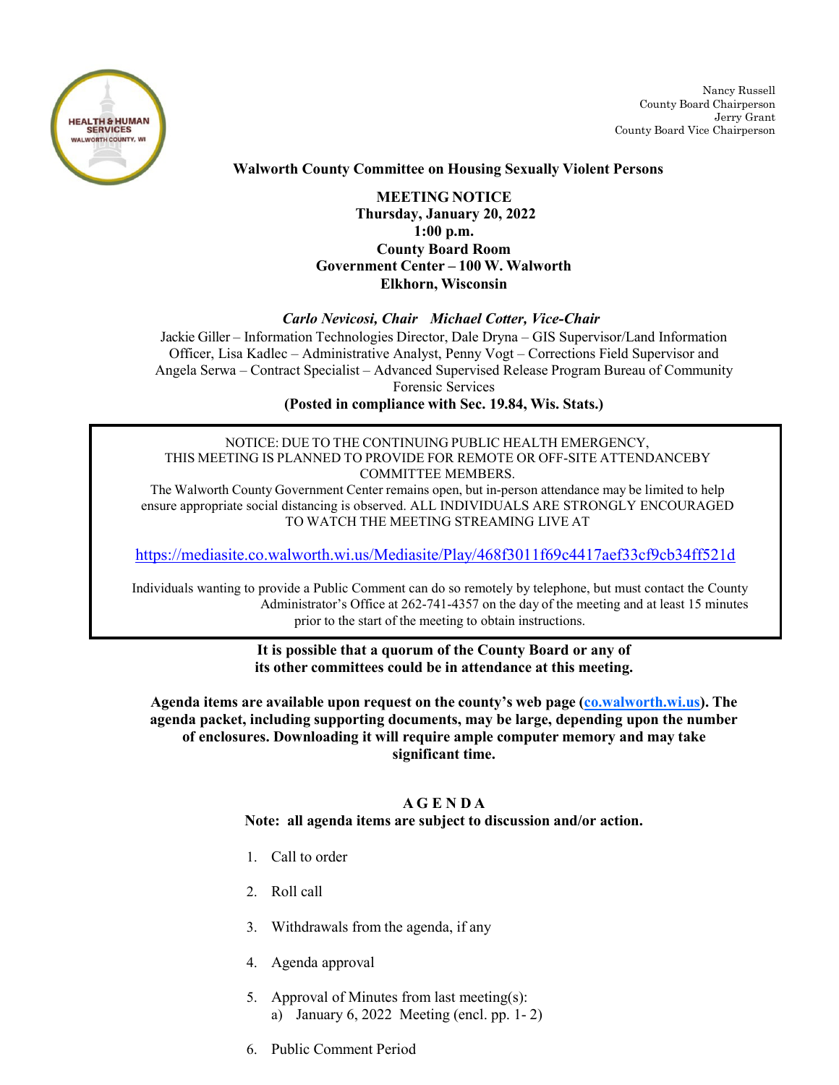

Nancy Russell County Board Chairperson Jerry Grant County Board Vice Chairperson

# **Walworth County Committee on Housing Sexually Violent Persons**

# **MEETING NOTICE Thursday, January 20, 2022 1:00 p.m. County Board Room Government Center – 100 W. Walworth Elkhorn, Wisconsin**

### *Carlo Nevicosi, Chair Michael Cotter, Vice-Chair*

Jackie Giller – Information Technologies Director, Dale Dryna – GIS Supervisor/Land Information Officer, Lisa Kadlec – Administrative Analyst, Penny Vogt – Corrections Field Supervisor and Angela Serwa – Contract Specialist – Advanced Supervised Release Program Bureau of Community Forensic Services

**(Posted in compliance with Sec. 19.84, Wis. Stats.)**

### NOTICE: DUE TO THE CONTINUING PUBLIC HEALTH EMERGENCY, THIS MEETING IS PLANNED TO PROVIDE FOR REMOTE OR OFF-SITE ATTENDANCEBY COMMITTEE MEMBERS.

The Walworth County Government Center remains open, but in-person attendance may be limited to help ensure appropriate social distancing is observed. ALL INDIVIDUALS ARE STRONGLY ENCOURAGED TO WATCH THE MEETING STREAMING LIVE AT

<https://mediasite.co.walworth.wi.us/Mediasite/Play/468f3011f69c4417aef33cf9cb34ff521d>

Individuals wanting to provide a Public Comment can do so remotely by telephone, but must contact the County Administrator's Office at 262-741-4357 on the day of the meeting and at least 15 minutes prior to the start of the meeting to obtain instructions.

#### **It is possible that a quorum of the County Board or any of its other committees could be in attendance at this meeting.**

**Agenda items are available upon request on the county's web page [\(co.walworth.wi.us\)](http://www.co.walworth.wi.us/). The agenda packet, including supporting documents, may be large, depending upon the number of enclosures. Downloading it will require ample computer memory and may take significant time.**

# **A G E N D A Note: all agenda items are subject to discussion and/or action.**

- 1. Call to order
- 2. Roll call
- 3. Withdrawals from the agenda, if any
- 4. Agenda approval
- 5. Approval of Minutes from last meeting(s): a) January 6, 2022 Meeting (encl. pp. 1- 2)
- 6. Public Comment Period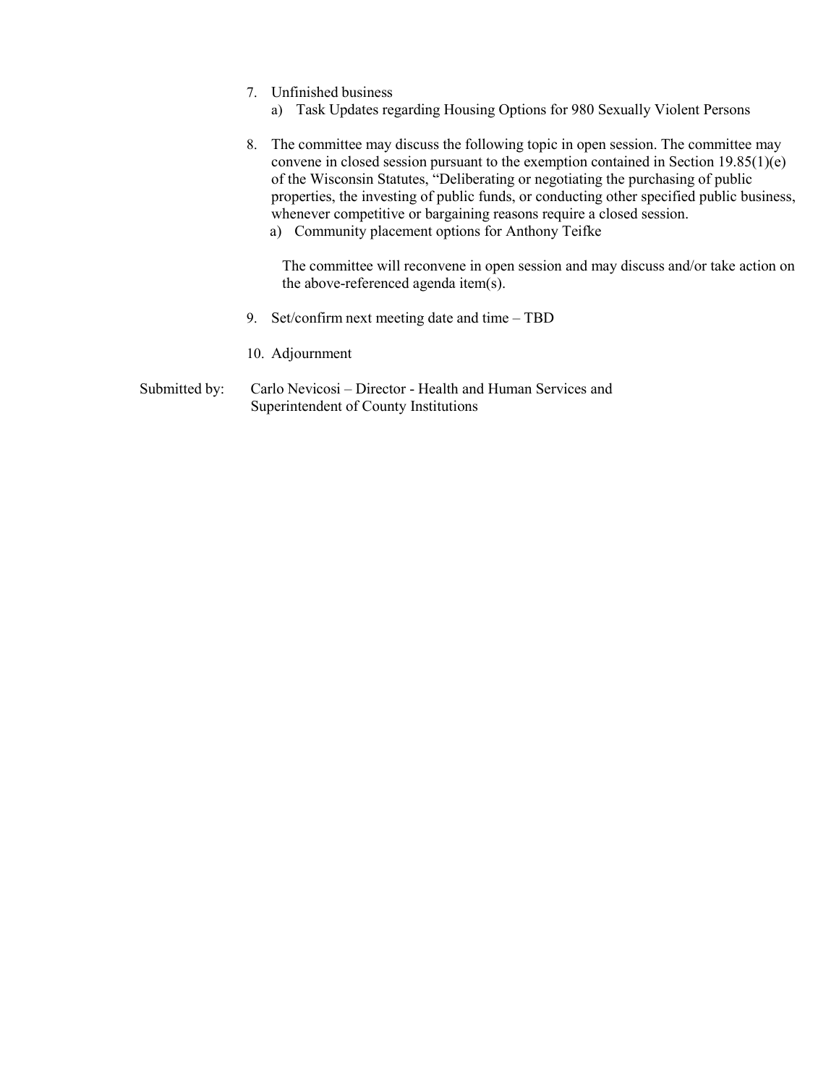- 7. Unfinished business
	- a) Task Updates regarding Housing Options for 980 Sexually Violent Persons
- 8. The committee may discuss the following topic in open session. The committee may convene in closed session pursuant to the exemption contained in Section 19.85(1)(e) of the Wisconsin Statutes, "Deliberating or negotiating the purchasing of public properties, the investing of public funds, or conducting other specified public business, whenever competitive or bargaining reasons require a closed session.
	- a) Community placement options for Anthony Teifke

The committee will reconvene in open session and may discuss and/or take action on the above-referenced agenda item(s).

- 9. Set/confirm next meeting date and time TBD
- 10. Adjournment
- Submitted by: Carlo Nevicosi Director Health and Human Services and Superintendent of County Institutions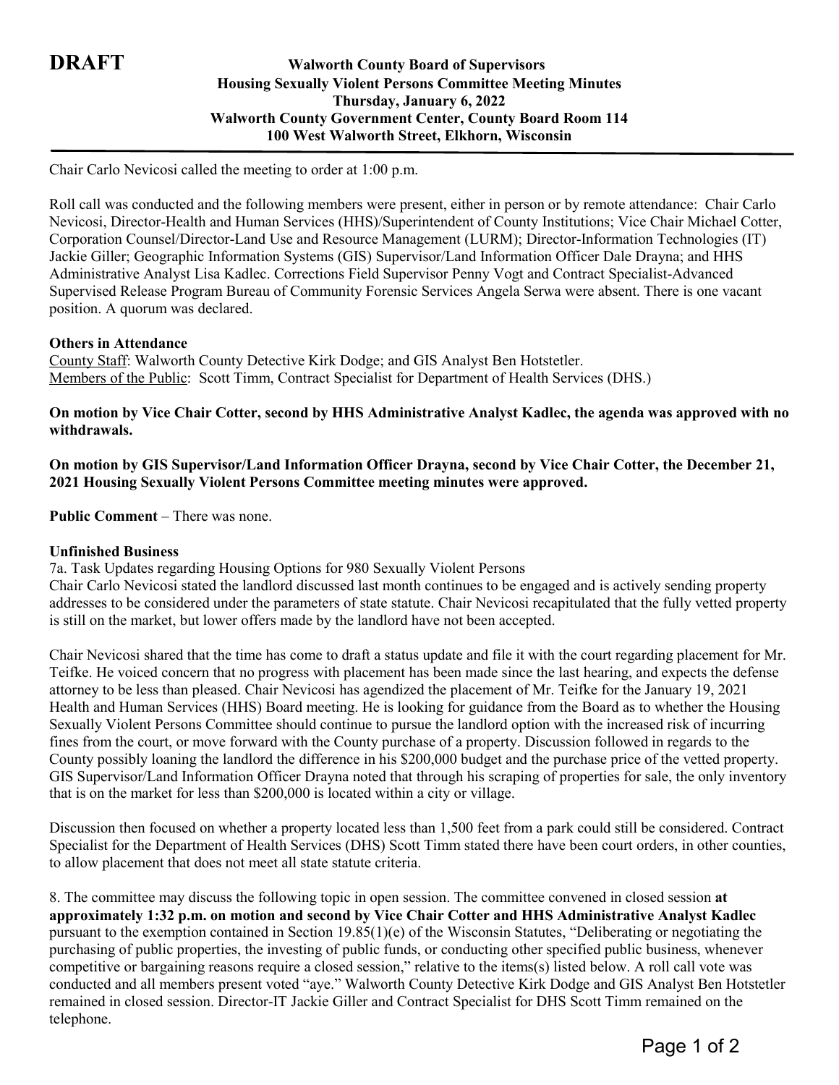# **DRAFT Walworth County Board of Supervisors Housing Sexually Violent Persons Committee Meeting Minutes Thursday, January 6, 2022 Walworth County Government Center, County Board Room 114 100 West Walworth Street, Elkhorn, Wisconsin**

Chair Carlo Nevicosi called the meeting to order at 1:00 p.m.

Roll call was conducted and the following members were present, either in person or by remote attendance: Chair Carlo Nevicosi, Director-Health and Human Services (HHS)/Superintendent of County Institutions; Vice Chair Michael Cotter, Corporation Counsel/Director-Land Use and Resource Management (LURM); Director-Information Technologies (IT) Jackie Giller; Geographic Information Systems (GIS) Supervisor/Land Information Officer Dale Drayna; and HHS Administrative Analyst Lisa Kadlec. Corrections Field Supervisor Penny Vogt and Contract Specialist-Advanced Supervised Release Program Bureau of Community Forensic Services Angela Serwa were absent. There is one vacant position. A quorum was declared.

### **Others in Attendance**

County Staff: Walworth County Detective Kirk Dodge; and GIS Analyst Ben Hotstetler. Members of the Public: Scott Timm, Contract Specialist for Department of Health Services (DHS.)

## **On motion by Vice Chair Cotter, second by HHS Administrative Analyst Kadlec, the agenda was approved with no withdrawals.**

# **On motion by GIS Supervisor/Land Information Officer Drayna, second by Vice Chair Cotter, the December 21, 2021 Housing Sexually Violent Persons Committee meeting minutes were approved.**

**Public Comment** – There was none.

## **Unfinished Business**

7a. Task Updates regarding Housing Options for 980 Sexually Violent Persons

Chair Carlo Nevicosi stated the landlord discussed last month continues to be engaged and is actively sending property addresses to be considered under the parameters of state statute. Chair Nevicosi recapitulated that the fully vetted property is still on the market, but lower offers made by the landlord have not been accepted.

Chair Nevicosi shared that the time has come to draft a status update and file it with the court regarding placement for Mr. Teifke. He voiced concern that no progress with placement has been made since the last hearing, and expects the defense attorney to be less than pleased. Chair Nevicosi has agendized the placement of Mr. Teifke for the January 19, 2021 Health and Human Services (HHS) Board meeting. He is looking for guidance from the Board as to whether the Housing Sexually Violent Persons Committee should continue to pursue the landlord option with the increased risk of incurring fines from the court, or move forward with the County purchase of a property. Discussion followed in regards to the County possibly loaning the landlord the difference in his \$200,000 budget and the purchase price of the vetted property. GIS Supervisor/Land Information Officer Drayna noted that through his scraping of properties for sale, the only inventory that is on the market for less than \$200,000 is located within a city or village.

Discussion then focused on whether a property located less than 1,500 feet from a park could still be considered. Contract Specialist for the Department of Health Services (DHS) Scott Timm stated there have been court orders, in other counties, to allow placement that does not meet all state statute criteria.

8. The committee may discuss the following topic in open session. The committee convened in closed session **at approximately 1:32 p.m. on motion and second by Vice Chair Cotter and HHS Administrative Analyst Kadlec** pursuant to the exemption contained in Section 19.85(1)(e) of the Wisconsin Statutes, "Deliberating or negotiating the purchasing of public properties, the investing of public funds, or conducting other specified public business, whenever competitive or bargaining reasons require a closed session," relative to the items(s) listed below. A roll call vote was conducted and all members present voted "aye." Walworth County Detective Kirk Dodge and GIS Analyst Ben Hotstetler remained in closed session. Director-IT Jackie Giller and Contract Specialist for DHS Scott Timm remained on the telephone.